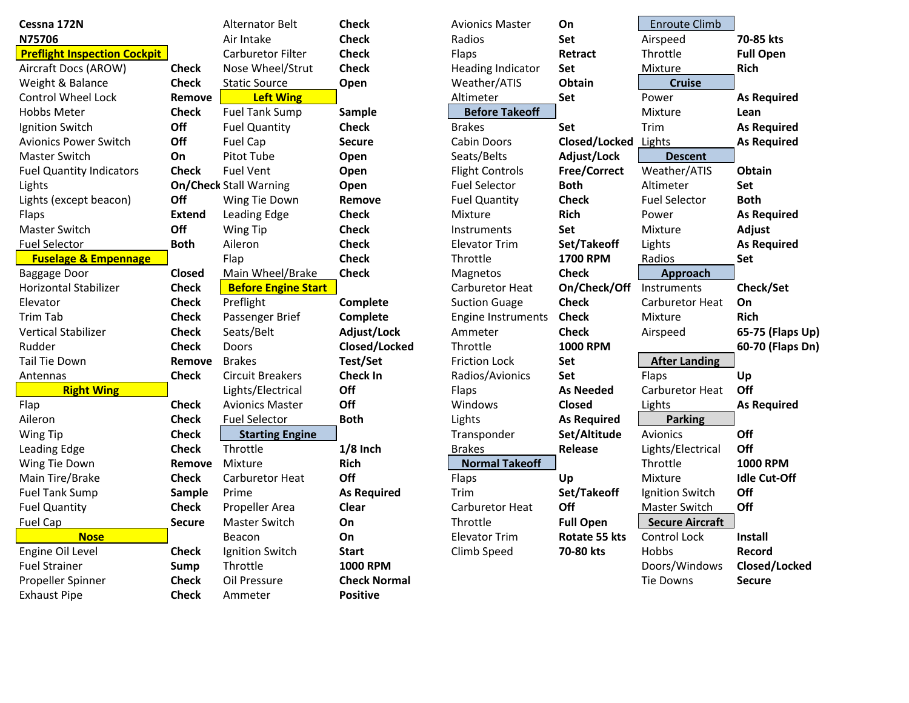| Cessna 172N                         |               | <b>Alternator Belt</b>        | <b>Check</b>        | <b>Avionics Master</b>   | On                 | <b>Enroute Climb</b>   |                     |
|-------------------------------------|---------------|-------------------------------|---------------------|--------------------------|--------------------|------------------------|---------------------|
| N75706                              |               | Air Intake                    | <b>Check</b>        | Radios                   | Set                | Airspeed               | 70-85 kts           |
| <b>Preflight Inspection Cockpit</b> |               | Carburetor Filter             | <b>Check</b>        | <b>Flaps</b>             | Retract            | Throttle               | <b>Full Open</b>    |
| Aircraft Docs (AROW)                | <b>Check</b>  | Nose Wheel/Strut              | <b>Check</b>        | <b>Heading Indicator</b> | <b>Set</b>         | Mixture                | <b>Rich</b>         |
| Weight & Balance                    | <b>Check</b>  | <b>Static Source</b>          | Open                | Weather/ATIS             | Obtain             | <b>Cruise</b>          |                     |
| <b>Control Wheel Lock</b>           | Remove        | <b>Left Wing</b>              |                     | Altimeter                | Set                | Power                  | <b>As Required</b>  |
| <b>Hobbs Meter</b>                  | <b>Check</b>  | <b>Fuel Tank Sump</b>         | Sample              | <b>Before Takeoff</b>    |                    | Mixture                | Lean                |
| Ignition Switch                     | Off           | <b>Fuel Quantity</b>          | <b>Check</b>        | <b>Brakes</b>            | Set                | Trim                   | <b>As Required</b>  |
| <b>Avionics Power Switch</b>        | Off           | <b>Fuel Cap</b>               | <b>Secure</b>       | <b>Cabin Doors</b>       | Closed/Locked      | Lights                 | <b>As Required</b>  |
| <b>Master Switch</b>                | On            | Pitot Tube                    | Open                | Seats/Belts              | Adjust/Lock        | <b>Descent</b>         |                     |
| <b>Fuel Quantity Indicators</b>     | <b>Check</b>  | <b>Fuel Vent</b>              | Open                | <b>Flight Controls</b>   | Free/Correct       | Weather/ATIS           | Obtain              |
| Lights                              |               | <b>On/Check Stall Warning</b> | Open                | <b>Fuel Selector</b>     | <b>Both</b>        | Altimeter              | Set                 |
| Lights (except beacon)              | Off           | Wing Tie Down                 | Remove              | <b>Fuel Quantity</b>     | <b>Check</b>       | <b>Fuel Selector</b>   | <b>Both</b>         |
| Flaps                               | <b>Extend</b> | Leading Edge                  | <b>Check</b>        | Mixture                  | <b>Rich</b>        | Power                  | <b>As Required</b>  |
| <b>Master Switch</b>                | Off           | Wing Tip                      | <b>Check</b>        | Instruments              | <b>Set</b>         | <b>Mixture</b>         | Adjust              |
| <b>Fuel Selector</b>                | <b>Both</b>   | Aileron                       | <b>Check</b>        | <b>Elevator Trim</b>     | Set/Takeoff        | Lights                 | <b>As Required</b>  |
| <b>Fuselage &amp; Empennage</b>     |               | Flap                          | <b>Check</b>        | Throttle                 | <b>1700 RPM</b>    | Radios                 | Set                 |
| Baggage Door                        | <b>Closed</b> | Main Wheel/Brake              | <b>Check</b>        | Magnetos                 | <b>Check</b>       | Approach               |                     |
| Horizontal Stabilizer               | <b>Check</b>  | <b>Before Engine Start</b>    |                     | Carburetor Heat          | On/Check/Off       | Instruments            | Check/Set           |
| Elevator                            | <b>Check</b>  | Preflight                     | Complete            | <b>Suction Guage</b>     | <b>Check</b>       | Carburetor Heat        | On                  |
| <b>Trim Tab</b>                     | <b>Check</b>  | Passenger Brief               | Complete            | Engine Instruments       | <b>Check</b>       | <b>Mixture</b>         | <b>Rich</b>         |
| <b>Vertical Stabilizer</b>          | <b>Check</b>  | Seats/Belt                    | Adjust/Lock         | Ammeter                  | <b>Check</b>       | Airspeed               | 65-75 (Flaps Up)    |
| Rudder                              | <b>Check</b>  | Doors                         | Closed/Locked       | Throttle                 | <b>1000 RPM</b>    |                        | 60-70 (Flaps Dn)    |
| <b>Tail Tie Down</b>                | Remove        | <b>Brakes</b>                 | Test/Set            | <b>Friction Lock</b>     | <b>Set</b>         | <b>After Landing</b>   |                     |
| Antennas                            | <b>Check</b>  | <b>Circuit Breakers</b>       | <b>Check In</b>     | Radios/Avionics          | <b>Set</b>         | Flaps                  | Up                  |
| <b>Right Wing</b>                   |               | Lights/Electrical             | Off                 | Flaps                    | <b>As Needed</b>   | Carburetor Heat        | Off                 |
| Flap                                | <b>Check</b>  | <b>Avionics Master</b>        | Off                 | Windows                  | <b>Closed</b>      | Lights                 | <b>As Required</b>  |
| Aileron                             | <b>Check</b>  | <b>Fuel Selector</b>          | <b>Both</b>         | Lights                   | <b>As Required</b> | <b>Parking</b>         |                     |
| Wing Tip                            | <b>Check</b>  | <b>Starting Engine</b>        |                     | Transponder              | Set/Altitude       | <b>Avionics</b>        | Off                 |
| Leading Edge                        | <b>Check</b>  | Throttle                      | $1/8$ Inch          | <b>Brakes</b>            | Release            | Lights/Electrical      | Off                 |
| Wing Tie Down                       | Remove        | Mixture                       | <b>Rich</b>         | <b>Normal Takeoff</b>    |                    | Throttle               | <b>1000 RPM</b>     |
| Main Tire/Brake                     | <b>Check</b>  | Carburetor Heat               | Off                 | Flaps                    | Up                 | Mixture                | <b>Idle Cut-Off</b> |
| <b>Fuel Tank Sump</b>               | Sample        | Prime                         | <b>As Required</b>  | Trim                     | Set/Takeoff        | Ignition Switch        | Off                 |
| <b>Fuel Quantity</b>                | <b>Check</b>  | Propeller Area                | Clear               | Carburetor Heat          | Off                | Master Switch          | Off                 |
| <b>Fuel Cap</b>                     | <b>Secure</b> | <b>Master Switch</b>          | On                  | Throttle                 | <b>Full Open</b>   | <b>Secure Aircraft</b> |                     |
| <b>Nose</b>                         |               | Beacon                        | On                  | <b>Elevator Trim</b>     | Rotate 55 kts      | <b>Control Lock</b>    | <b>Install</b>      |
| Engine Oil Level                    | <b>Check</b>  | Ignition Switch               | <b>Start</b>        | Climb Speed              | 70-80 kts          | Hobbs                  | Record              |
| <b>Fuel Strainer</b>                | Sump          | Throttle                      | <b>1000 RPM</b>     |                          |                    | Doors/Windows          | Closed/Locked       |
| Propeller Spinner                   | <b>Check</b>  | Oil Pressure                  | <b>Check Normal</b> |                          |                    | Tie Downs              | <b>Secure</b>       |
| <b>Exhaust Pipe</b>                 | <b>Check</b>  | Ammeter                       | <b>Positive</b>     |                          |                    |                        |                     |